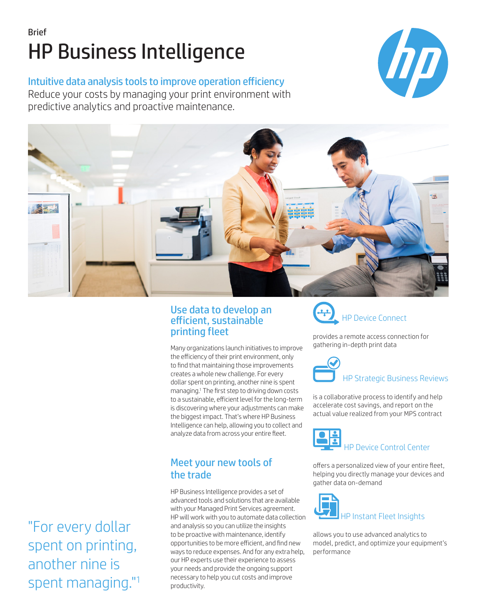# Brief HP Business Intelligence

#### Intuitive data analysis tools to improve operation efficiency

Reduce your costs by managing your print environment with predictive analytics and proactive maintenance.





#### Use data to develop an efficient, sustainable printing fleet

Many organizations launch initiatives to improve the efficiency of their print environment, only to find that maintaining those improvements creates a whole new challenge. For every dollar spent on printing, another nine is spent managing.1 The first step to driving down costs to a sustainable, efficient level for the long-term is discovering where your adjustments can make the biggest impact. That's where HP Business Intelligence can help, allowing you to collect and analyze data from across your entire fleet.

## Meet your new tools of the trade

HP Business Intelligence provides a set of advanced tools and solutions that are available with your Managed Print Services agreement. HP will work with you to automate data collection and analysis so you can utilize the insights to be proactive with maintenance, identify opportunities to be more efficient, and find new ways to reduce expenses. And for any extra help, our HP experts use their experience to assess your needs and provide the ongoing support necessary to help you cut costs and improve productivity.



provides a remote access connection for gathering in-depth print data



is a collaborative process to identify and help accelerate cost savings, and report on the actual value realized from your MPS contract



offers a personalized view of your entire fleet, helping you directly manage your devices and gather data on-demand



allows you to use advanced analytics to model, predict, and optimize your equipment's performance

"For every dollar spent on printing, another nine is spent managing."1